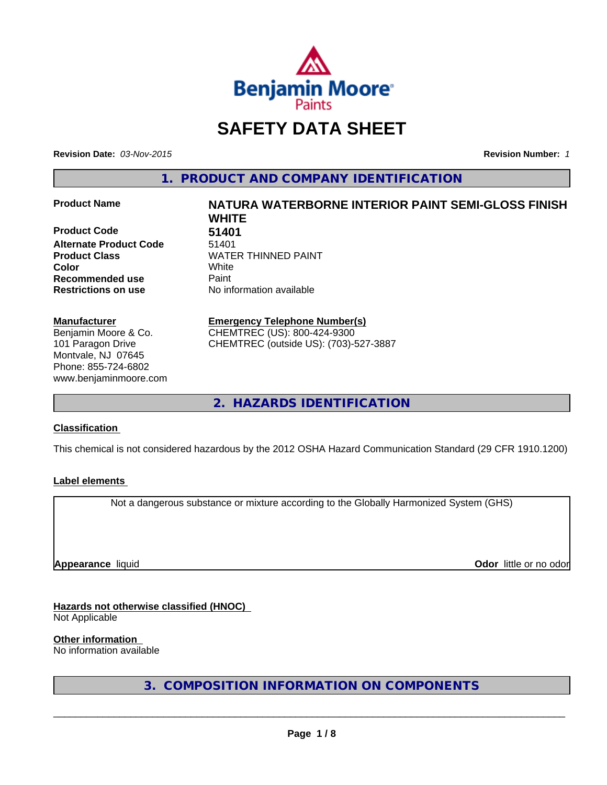

# **SAFETY DATA SHEET**

**Revision Date:** *03-Nov-2015* **Revision Number:** *1*

**1. PRODUCT AND COMPANY IDENTIFICATION**

**Product Code 51401 Alternate Product Code** 51401 **Color** White White **Recommended use Paint** 

## **Manufacturer**

Benjamin Moore & Co. 101 Paragon Drive Montvale, NJ 07645 Phone: 855-724-6802 www.benjaminmoore.com

# **Product Name NATURA WATERBORNE INTERIOR PAINT SEMI-GLOSS FINISH WHITE Product Class WATER THINNED PAINT**

**Restrictions on use** No information available

# **Emergency Telephone Number(s)** CHEMTREC (US): 800-424-9300

CHEMTREC (outside US): (703)-527-3887

**2. HAZARDS IDENTIFICATION**

# **Classification**

This chemical is not considered hazardous by the 2012 OSHA Hazard Communication Standard (29 CFR 1910.1200)

# **Label elements**

Not a dangerous substance or mixture according to the Globally Harmonized System (GHS)

**Appearance** liquid

**Odor** little or no odor

# **Hazards not otherwise classified (HNOC)**

Not Applicable

## **Other information**

No information available

**3. COMPOSITION INFORMATION ON COMPONENTS**

 $\overline{\phantom{a}}$  ,  $\overline{\phantom{a}}$  ,  $\overline{\phantom{a}}$  ,  $\overline{\phantom{a}}$  ,  $\overline{\phantom{a}}$  ,  $\overline{\phantom{a}}$  ,  $\overline{\phantom{a}}$  ,  $\overline{\phantom{a}}$  ,  $\overline{\phantom{a}}$  ,  $\overline{\phantom{a}}$  ,  $\overline{\phantom{a}}$  ,  $\overline{\phantom{a}}$  ,  $\overline{\phantom{a}}$  ,  $\overline{\phantom{a}}$  ,  $\overline{\phantom{a}}$  ,  $\overline{\phantom{a}}$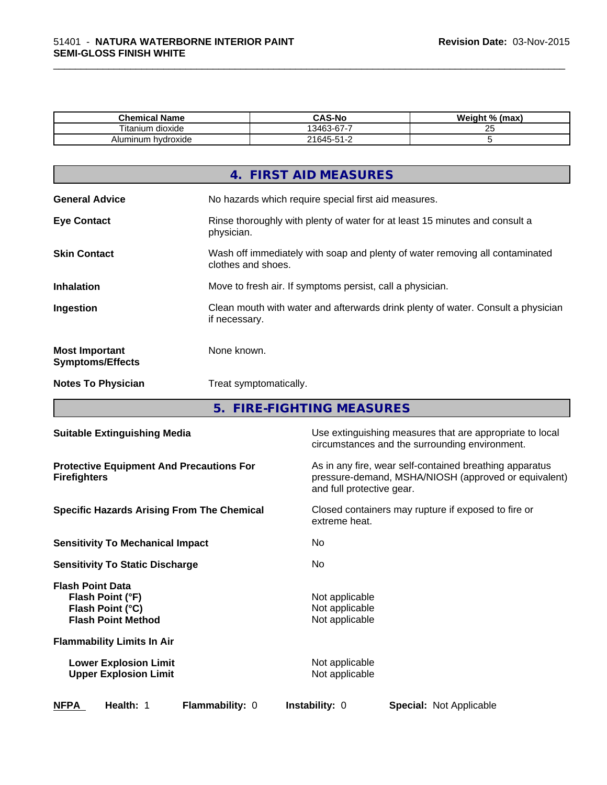| <b>Chemical Name</b>             | <b>CAS-No</b>                      | Weight %<br>(max |
|----------------------------------|------------------------------------|------------------|
| $- \cdot$ .<br>l itanium dioxide | $\sim$<br>-<br>ໍດ<br>.3462.<br>. . | $\sim$<br>Δu     |
| Aluminum<br>hydroxide            | $21645 - 51 - 2$<br>ີ              |                  |

\_\_\_\_\_\_\_\_\_\_\_\_\_\_\_\_\_\_\_\_\_\_\_\_\_\_\_\_\_\_\_\_\_\_\_\_\_\_\_\_\_\_\_\_\_\_\_\_\_\_\_\_\_\_\_\_\_\_\_\_\_\_\_\_\_\_\_\_\_\_\_\_\_\_\_\_\_\_\_\_\_\_\_\_\_\_\_\_\_\_\_\_\_

|                                                  | 4. FIRST AID MEASURES                                                                              |
|--------------------------------------------------|----------------------------------------------------------------------------------------------------|
| <b>General Advice</b>                            | No hazards which require special first aid measures.                                               |
| <b>Eye Contact</b>                               | Rinse thoroughly with plenty of water for at least 15 minutes and consult a<br>physician.          |
| <b>Skin Contact</b>                              | Wash off immediately with soap and plenty of water removing all contaminated<br>clothes and shoes. |
| <b>Inhalation</b>                                | Move to fresh air. If symptoms persist, call a physician.                                          |
| Ingestion                                        | Clean mouth with water and afterwards drink plenty of water. Consult a physician<br>if necessary.  |
| <b>Most Important</b><br><b>Symptoms/Effects</b> | None known.                                                                                        |
| <b>Notes To Physician</b>                        | Treat symptomatically.                                                                             |
|                                                  |                                                                                                    |

**5. FIRE-FIGHTING MEASURES**

| <b>Suitable Extinguishing Media</b>                                                          | Use extinguishing measures that are appropriate to local<br>circumstances and the surrounding environment.                                   |
|----------------------------------------------------------------------------------------------|----------------------------------------------------------------------------------------------------------------------------------------------|
| <b>Protective Equipment And Precautions For</b><br><b>Firefighters</b>                       | As in any fire, wear self-contained breathing apparatus<br>pressure-demand, MSHA/NIOSH (approved or equivalent)<br>and full protective gear. |
| <b>Specific Hazards Arising From The Chemical</b>                                            | Closed containers may rupture if exposed to fire or<br>extreme heat.                                                                         |
| <b>Sensitivity To Mechanical Impact</b>                                                      | No                                                                                                                                           |
| <b>Sensitivity To Static Discharge</b>                                                       | No.                                                                                                                                          |
| <b>Flash Point Data</b><br>Flash Point (°F)<br>Flash Point (°C)<br><b>Flash Point Method</b> | Not applicable<br>Not applicable<br>Not applicable                                                                                           |
| <b>Flammability Limits In Air</b>                                                            |                                                                                                                                              |
| <b>Lower Explosion Limit</b><br><b>Upper Explosion Limit</b>                                 | Not applicable<br>Not applicable                                                                                                             |
| <b>NFPA</b><br>Health: 1<br>Flammability: 0                                                  | <b>Instability: 0</b><br><b>Special: Not Applicable</b>                                                                                      |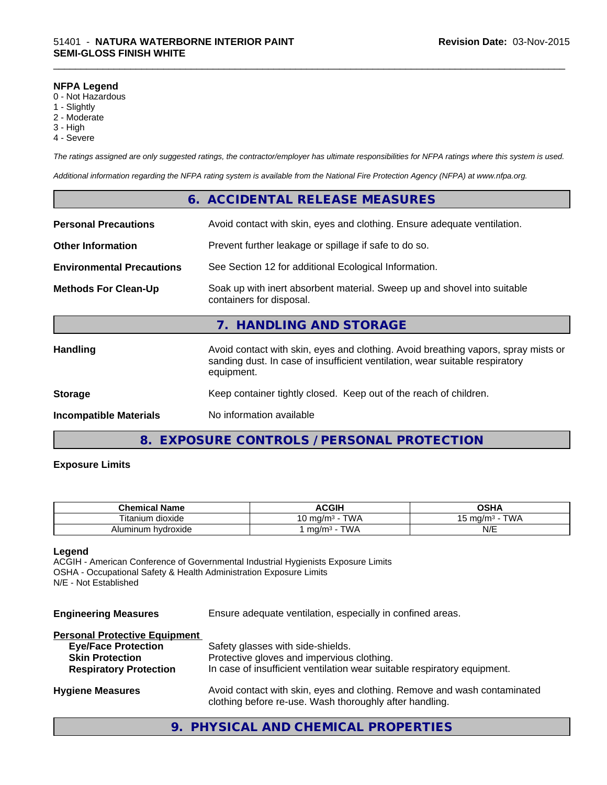#### **NFPA Legend**

- 0 Not Hazardous
- 1 Slightly
- 2 Moderate
- 3 High
- 4 Severe

*The ratings assigned are only suggested ratings, the contractor/employer has ultimate responsibilities for NFPA ratings where this system is used.*

\_\_\_\_\_\_\_\_\_\_\_\_\_\_\_\_\_\_\_\_\_\_\_\_\_\_\_\_\_\_\_\_\_\_\_\_\_\_\_\_\_\_\_\_\_\_\_\_\_\_\_\_\_\_\_\_\_\_\_\_\_\_\_\_\_\_\_\_\_\_\_\_\_\_\_\_\_\_\_\_\_\_\_\_\_\_\_\_\_\_\_\_\_

*Additional information regarding the NFPA rating system is available from the National Fire Protection Agency (NFPA) at www.nfpa.org.*

|                                  | 6. ACCIDENTAL RELEASE MEASURES                                                                                                                                                   |
|----------------------------------|----------------------------------------------------------------------------------------------------------------------------------------------------------------------------------|
| <b>Personal Precautions</b>      | Avoid contact with skin, eyes and clothing. Ensure adequate ventilation.                                                                                                         |
| <b>Other Information</b>         | Prevent further leakage or spillage if safe to do so.                                                                                                                            |
| <b>Environmental Precautions</b> | See Section 12 for additional Ecological Information.                                                                                                                            |
| <b>Methods For Clean-Up</b>      | Soak up with inert absorbent material. Sweep up and shovel into suitable<br>containers for disposal.                                                                             |
|                                  | 7. HANDLING AND STORAGE                                                                                                                                                          |
| <b>Handling</b>                  | Avoid contact with skin, eyes and clothing. Avoid breathing vapors, spray mists or<br>sanding dust. In case of insufficient ventilation, wear suitable respiratory<br>equipment. |
| <b>Storage</b>                   | Keep container tightly closed. Keep out of the reach of children.                                                                                                                |
| <b>Incompatible Materials</b>    | No information available                                                                                                                                                         |
| 8.                               | EXPOSURE CONTROLS / PERSONAL PROTECTION                                                                                                                                          |

#### **Exposure Limits**

| <b>Chemical Name</b>                          | <b>ACGIP</b>                    | <b>OSHA</b>                |  |
|-----------------------------------------------|---------------------------------|----------------------------|--|
| $\sim$<br>$- \cdot$ .<br>itanium<br>⊧ dioxide | TWA<br>.∪ mq/m <sup>3</sup>     | $T$ $M$<br>⊤ma/mª ·<br>ں ا |  |
| Aluminum hydroxide                            | <b>TWA</b><br>ma/m <sup>3</sup> | N/E                        |  |

#### **Legend**

ACGIH - American Conference of Governmental Industrial Hygienists Exposure Limits OSHA - Occupational Safety & Health Administration Exposure Limits N/E - Not Established

| <b>Engineering Measures</b> | Ensure adequate ventilation, especially in confined areas. |
|-----------------------------|------------------------------------------------------------|
|                             |                                                            |

# **Personal Protective Equipment Eye/Face Protection** Safety glasses with side-shields. **Skin Protection** Protective gloves and impervious clothing. **Respiratory Protection** In case of insufficient ventilation wear suitable respiratory equipment. **Hygiene Measures** Avoid contact with skin, eyes and clothing. Remove and wash contaminated clothing before re-use. Wash thoroughly after handling.

# **9. PHYSICAL AND CHEMICAL PROPERTIES**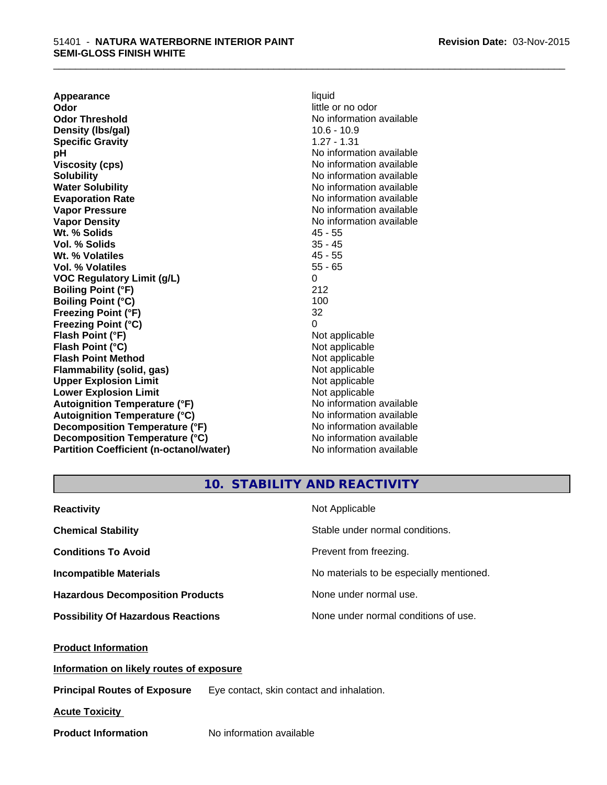**Appearance** liquid **Odor** little or no odor **Odor Threshold** No information available **Density (lbs/gal)** 10.6 - 10.9 **Specific Gravity** 1.27 - 1.31 **pH** No information available **Viscosity (cps)** No information available **Solubility Note 2008 Note 2008 Note 2008 Note 2008 Note 2008 Note 2008 Note 2008 Note 2008 Note 2008 Note 2008 Note 2008 Note 2008 Note 2008 Note 2008 Note 2008 Note 2008 Note 2008 Note Water Solubility Water Solubility Water Solubility No information available Evaporation Rate No information available No information available Vapor Pressure** No information available **Vapor Density Vapor Density No information available Wt. % Solids** 45 - 55 **Vol. % Solids** 35 - 45 **Wt. % Volatiles** 45 - 55 **Vol. % Volatiles** 55 - 65 **VOC Regulatory Limit (g/L)** 0 **Boiling Point (°F)** 212 **Boiling Point (°C)** 100 **Freezing Point (°F)** 32 **Freezing Point (°C)** 0 **Flash Point (°F)** Not applicable **Flash Point (°C)** Not applicable **Flash Point Method** Not applicable **Flammability (solid, gas)** Not applicable **Upper Explosion Limit**<br> **Lower Explosion Limit**<br> **Lower Explosion Limit Lower Explosion Limit**<br> **Autoignition Temperature (°F)**<br> **Autoignition Temperature (°F)**<br> **Autoignition Temperature (°F)** Autoignition Temperature (°F)<br> **Autoignition Temperature (°C)**<br>
No information available **Autoignition Temperature (°C) Decomposition Temperature (°F)** No information available **Decomposition Temperature (°C)** No information available **Partition Coefficient (n-octanol/water)** No information available

\_\_\_\_\_\_\_\_\_\_\_\_\_\_\_\_\_\_\_\_\_\_\_\_\_\_\_\_\_\_\_\_\_\_\_\_\_\_\_\_\_\_\_\_\_\_\_\_\_\_\_\_\_\_\_\_\_\_\_\_\_\_\_\_\_\_\_\_\_\_\_\_\_\_\_\_\_\_\_\_\_\_\_\_\_\_\_\_\_\_\_\_\_

# **10. STABILITY AND REACTIVITY**

| <b>Reactivity</b>                         | Not Applicable                           |
|-------------------------------------------|------------------------------------------|
| <b>Chemical Stability</b>                 | Stable under normal conditions.          |
| <b>Conditions To Avoid</b>                | Prevent from freezing.                   |
| <b>Incompatible Materials</b>             | No materials to be especially mentioned. |
| <b>Hazardous Decomposition Products</b>   | None under normal use.                   |
| <b>Possibility Of Hazardous Reactions</b> | None under normal conditions of use.     |

## **Product Information**

**Information on likely routes of exposure**

**Principal Routes of Exposure** Eye contact, skin contact and inhalation.

**Acute Toxicity** 

**Product Information** No information available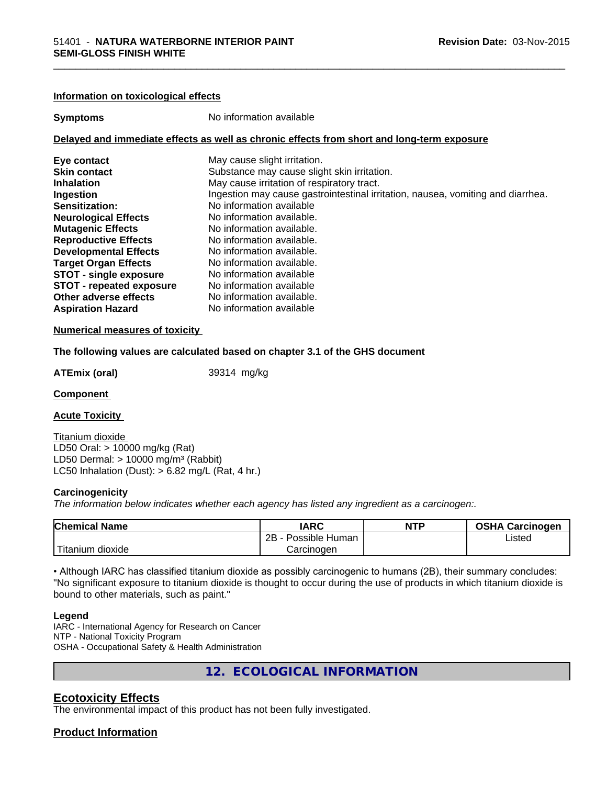#### **Information on toxicological effects**

**Symptoms** No information available

# **Delayed and immediate effects as well as chronic effects from short and long-term exposure**

| Eye contact                     | May cause slight irritation.                                                    |
|---------------------------------|---------------------------------------------------------------------------------|
| <b>Skin contact</b>             | Substance may cause slight skin irritation.                                     |
| <b>Inhalation</b>               | May cause irritation of respiratory tract.                                      |
| Ingestion                       | Ingestion may cause gastrointestinal irritation, nausea, vomiting and diarrhea. |
| Sensitization:                  | No information available                                                        |
| <b>Neurological Effects</b>     | No information available.                                                       |
| <b>Mutagenic Effects</b>        | No information available.                                                       |
| <b>Reproductive Effects</b>     | No information available.                                                       |
| <b>Developmental Effects</b>    | No information available.                                                       |
| <b>Target Organ Effects</b>     | No information available.                                                       |
| <b>STOT - single exposure</b>   | No information available                                                        |
| <b>STOT - repeated exposure</b> | No information available                                                        |
| Other adverse effects           | No information available.                                                       |
| <b>Aspiration Hazard</b>        | No information available                                                        |

#### **Numerical measures of toxicity**

**The following values are calculated based on chapter 3.1 of the GHS document**

**ATEmix (oral)** 39314 mg/kg

#### **Component**

**Acute Toxicity** 

Titanium dioxide LD50 Oral: > 10000 mg/kg (Rat) LD50 Dermal:  $> 10000$  mg/m<sup>3</sup> (Rabbit) LC50 Inhalation (Dust):  $> 6.82$  mg/L (Rat, 4 hr.)

#### **Carcinogenicity**

*The information below indicateswhether each agency has listed any ingredient as a carcinogen:.*

| <b>Chemical Name</b>    | <b>IARC</b>          | <b>NTP</b> | <b>OSHA Carcinogen</b> |
|-------------------------|----------------------|------------|------------------------|
|                         | 2B<br>Possible Human |            | Listed                 |
| $-$<br>Titanium dioxide | شarcinoαen           |            |                        |

• Although IARC has classified titanium dioxide as possibly carcinogenic to humans (2B), their summary concludes: "No significant exposure to titanium dioxide is thought to occur during the use of products in which titanium dioxide is bound to other materials, such as paint."

#### **Legend**

IARC - International Agency for Research on Cancer NTP - National Toxicity Program OSHA - Occupational Safety & Health Administration

**12. ECOLOGICAL INFORMATION**

# **Ecotoxicity Effects**

The environmental impact of this product has not been fully investigated.

## **Product Information**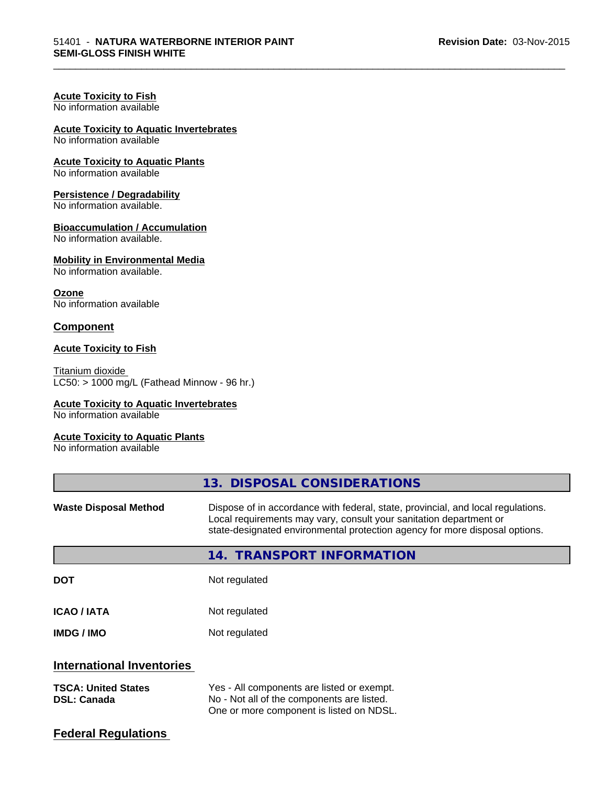\_\_\_\_\_\_\_\_\_\_\_\_\_\_\_\_\_\_\_\_\_\_\_\_\_\_\_\_\_\_\_\_\_\_\_\_\_\_\_\_\_\_\_\_\_\_\_\_\_\_\_\_\_\_\_\_\_\_\_\_\_\_\_\_\_\_\_\_\_\_\_\_\_\_\_\_\_\_\_\_\_\_\_\_\_\_\_\_\_\_\_\_\_

# **Acute Toxicity to Fish**

No information available

# **Acute Toxicity to Aquatic Invertebrates**

No information available

# **Acute Toxicity to Aquatic Plants**

No information available

# **Persistence / Degradability**

No information available.

# **Bioaccumulation / Accumulation**

No information available.

## **Mobility in Environmental Media**

No information available.

**Ozone** No information available

# **Component**

# **Acute Toxicity to Fish**

Titanium dioxide  $LCS0: > 1000$  mg/L (Fathead Minnow - 96 hr.)

# **Acute Toxicity to Aquatic Invertebrates**

No information available

## **Acute Toxicity to Aquatic Plants**

No information available

|                                                  | 13. DISPOSAL CONSIDERATIONS                                                                                                                                                                                                           |  |  |
|--------------------------------------------------|---------------------------------------------------------------------------------------------------------------------------------------------------------------------------------------------------------------------------------------|--|--|
| <b>Waste Disposal Method</b>                     | Dispose of in accordance with federal, state, provincial, and local regulations.<br>Local requirements may vary, consult your sanitation department or<br>state-designated environmental protection agency for more disposal options. |  |  |
|                                                  | 14. TRANSPORT INFORMATION                                                                                                                                                                                                             |  |  |
| <b>DOT</b>                                       | Not regulated                                                                                                                                                                                                                         |  |  |
| <b>ICAO/IATA</b>                                 | Not regulated                                                                                                                                                                                                                         |  |  |
| <b>IMDG/IMO</b>                                  | Not regulated                                                                                                                                                                                                                         |  |  |
| <b>International Inventories</b>                 |                                                                                                                                                                                                                                       |  |  |
| <b>TSCA: United States</b><br><b>DSL: Canada</b> | Yes - All components are listed or exempt.<br>No - Not all of the components are listed.<br>One or more component is listed on NDSL.                                                                                                  |  |  |
| <b>Federal Regulations</b>                       |                                                                                                                                                                                                                                       |  |  |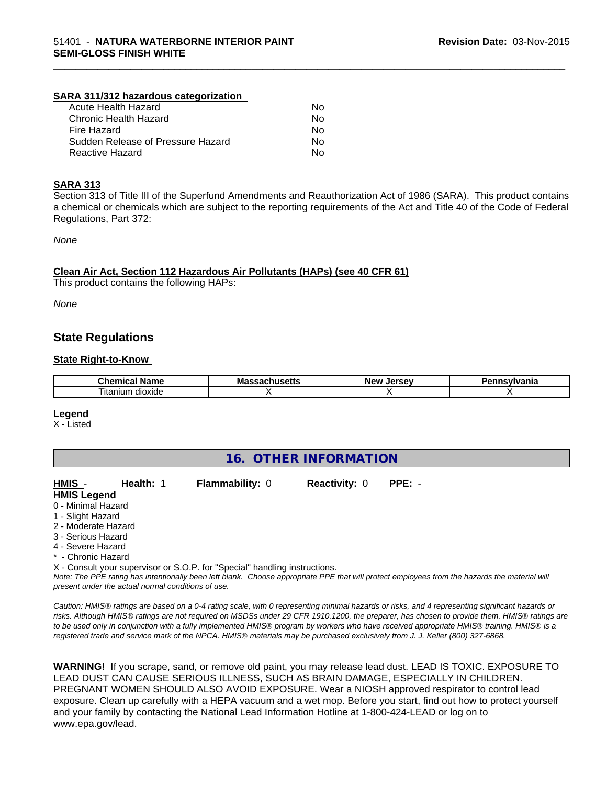## **SARA 311/312 hazardous categorization**

| Acute Health Hazard               | Nο |
|-----------------------------------|----|
| Chronic Health Hazard             | Nο |
| Fire Hazard                       | Nο |
| Sudden Release of Pressure Hazard | Nο |
| Reactive Hazard                   | N٥ |

#### **SARA 313**

Section 313 of Title III of the Superfund Amendments and Reauthorization Act of 1986 (SARA). This product contains a chemical or chemicals which are subject to the reporting requirements of the Act and Title 40 of the Code of Federal Regulations, Part 372:

\_\_\_\_\_\_\_\_\_\_\_\_\_\_\_\_\_\_\_\_\_\_\_\_\_\_\_\_\_\_\_\_\_\_\_\_\_\_\_\_\_\_\_\_\_\_\_\_\_\_\_\_\_\_\_\_\_\_\_\_\_\_\_\_\_\_\_\_\_\_\_\_\_\_\_\_\_\_\_\_\_\_\_\_\_\_\_\_\_\_\_\_\_

*None*

#### **Clean Air Act,Section 112 Hazardous Air Pollutants (HAPs) (see 40 CFR 61)**

This product contains the following HAPs:

*None*

# **State Regulations**

#### **State Right-to-Know**

| ™hon.<br>anne -<br>. | . .<br>м.<br>ше<br>. | NF.<br>-- |  |
|----------------------|----------------------|-----------|--|
| dioxide<br>l itanıum |                      |           |  |

#### **Legend**

X - Listed

| 16. OTHER INFORMATION |                                                    |                                                                            |                      |                                                                                                                                               |  |
|-----------------------|----------------------------------------------------|----------------------------------------------------------------------------|----------------------|-----------------------------------------------------------------------------------------------------------------------------------------------|--|
| HMIS -                | Health: 1                                          | <b>Flammability: 0</b>                                                     | <b>Reactivity: 0</b> | $PPE: -$                                                                                                                                      |  |
| <b>HMIS Legend</b>    |                                                    |                                                                            |                      |                                                                                                                                               |  |
| 0 - Minimal Hazard    |                                                    |                                                                            |                      |                                                                                                                                               |  |
| 1 - Slight Hazard     |                                                    |                                                                            |                      |                                                                                                                                               |  |
| 2 - Moderate Hazard   |                                                    |                                                                            |                      |                                                                                                                                               |  |
| 3 - Serious Hazard    |                                                    |                                                                            |                      |                                                                                                                                               |  |
| 4 - Severe Hazard     |                                                    |                                                                            |                      |                                                                                                                                               |  |
| * - Chronic Hazard    |                                                    |                                                                            |                      |                                                                                                                                               |  |
|                       |                                                    | X - Consult your supervisor or S.O.P. for "Special" handling instructions. |                      |                                                                                                                                               |  |
|                       | present under the actual normal conditions of use. |                                                                            |                      | Note: The PPE rating has intentionally been left blank. Choose appropriate PPE that will protect employees from the hazards the material will |  |

*Caution: HMISÒ ratings are based on a 0-4 rating scale, with 0 representing minimal hazards or risks, and 4 representing significant hazards or risks. Although HMISÒ ratings are not required on MSDSs under 29 CFR 1910.1200, the preparer, has chosen to provide them. HMISÒ ratings are to be used only in conjunction with a fully implemented HMISÒ program by workers who have received appropriate HMISÒ training. HMISÒ is a registered trade and service mark of the NPCA. HMISÒ materials may be purchased exclusively from J. J. Keller (800) 327-6868.*

**WARNING!** If you scrape, sand, or remove old paint, you may release lead dust. LEAD IS TOXIC. EXPOSURE TO LEAD DUST CAN CAUSE SERIOUS ILLNESS, SUCH AS BRAIN DAMAGE, ESPECIALLY IN CHILDREN. PREGNANT WOMEN SHOULD ALSO AVOID EXPOSURE.Wear a NIOSH approved respirator to control lead exposure. Clean up carefully with a HEPA vacuum and a wet mop. Before you start, find out how to protect yourself and your family by contacting the National Lead Information Hotline at 1-800-424-LEAD or log on to www.epa.gov/lead.